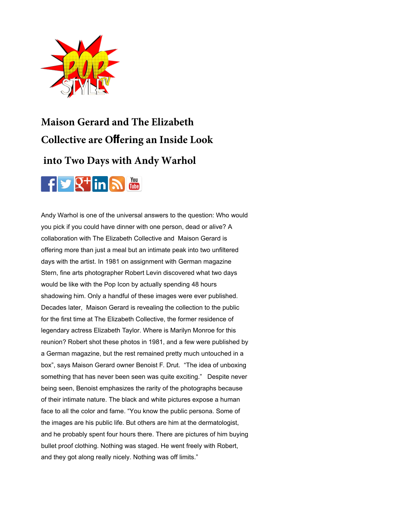

## **[Maison Gerard and The Elizabeth](http://popstyletv.com/category/video-interviews-fashion-nyc/)  Collective are Off[ering an Inside Look](http://popstyletv.com/category/beauty-products-and-spas/)**

## **[into Two Days with Andy Warhol](http://popstyletv.com/category/luxury-real-estate-electronics-nyc/)**



[Andy Warhol is one of the universal answers to the question: Who woul](http://popstyletv.com/category/restaurants-and-food-events-nyc/)d you pick if you could have dinner with one person, dead or alive? A collaboration with T[he Elizabeth Collective](http://popstyletv.com/?page_id=495) and Maison Gerard is offering more than just a meal but an intimate peak into two unfiltered days with the artist. In 1981 on assignment with German magazine [Stern, fine arts photographer Robert Levin discovered](#page--1-0) what two days would be like with the Pop Icon by actually spending 48 hours shadowing him. Only a handful of these images were ever published. Decades later, Maison Gerard is revealing the collection to the public for the first time at The [Elizabeth Collective, the former residence of](http://popstyletv.com/2019/02/the-maison-gerard-and-the-elizabeth-collective-is-offering-an-inside-look-into-two-days-with-andy-warhol/)  [legendary actress Elizabeth Taylor. Where is Marilyn](http://popstyletv.com/author/jamie-valentino/) Monroe for this reunion? Robert shot these photos in 1981, and a few were published by [a Ger](https://www.facebook.com/popstyletv?ref=hl)[man](https://twitter.com/POPStyletweets) [magaz](https://plus.google.com/u/0/104693420337069820523/posts/p/pub)[ine, b](http://www.linkedin.com/in/yourid)[ut the](http://feeds.feedburner.com/MyFeedName) [rest re](http://www.youtube.com/popstyletv)mained pretty much untouched in a box", says Maison Gerard owner Benoist F. Drut. "The idea of unboxing something that has never been seen was quite exciting." Despite never being seen, Benoist emphasizes the rarity of the photographs because of their intimate nature. The black and white pictures expose a human face to all the color and fame. "You know the public persona. Some of the images are his public life. But others are him at the dermatologist, and he probably spent four hours there. There are pictures of him buying bullet proof clothing. Nothing was staged. He went freely with Robert, and they got along really nicely. Nothing was off limits."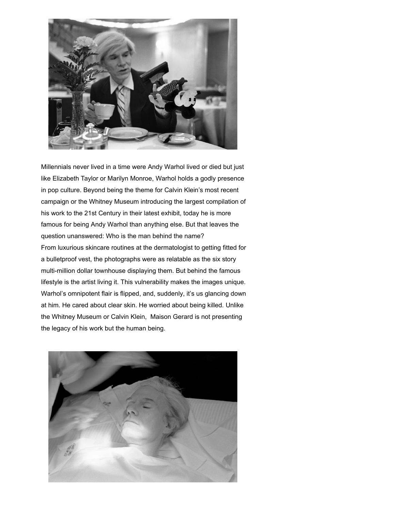

Millennials never lived in a time were Andy Warhol lived or died but just like Elizabeth Taylor or Marilyn Monroe, Warhol holds a godly presence in pop culture. Beyond being the theme for Calvin Klein's most recent campaign or the Whitney Museum introducing the largest compilation of his work to the 21st Century in their latest exhibit, today he is more famous for being Andy Warhol than anything else. But that leaves the question unanswered: Who is the man behind the name? From luxurious skincare routines at the dermatologist to getting fitted for a bulletproof vest, the photographs were as relatable as the six story multi-million dollar townhouse displaying them. But behind the famous lifestyle is the artist living it. This vulnerability makes the images unique. Warhol's omnipotent flair is flipped, and, suddenly, it's us glancing down at him. He cared about clear skin. He worried about being killed. Unlike the Whitney Museum or Calvin Klein, Maison Gerard is not presenting the legacy of his work but the human being.